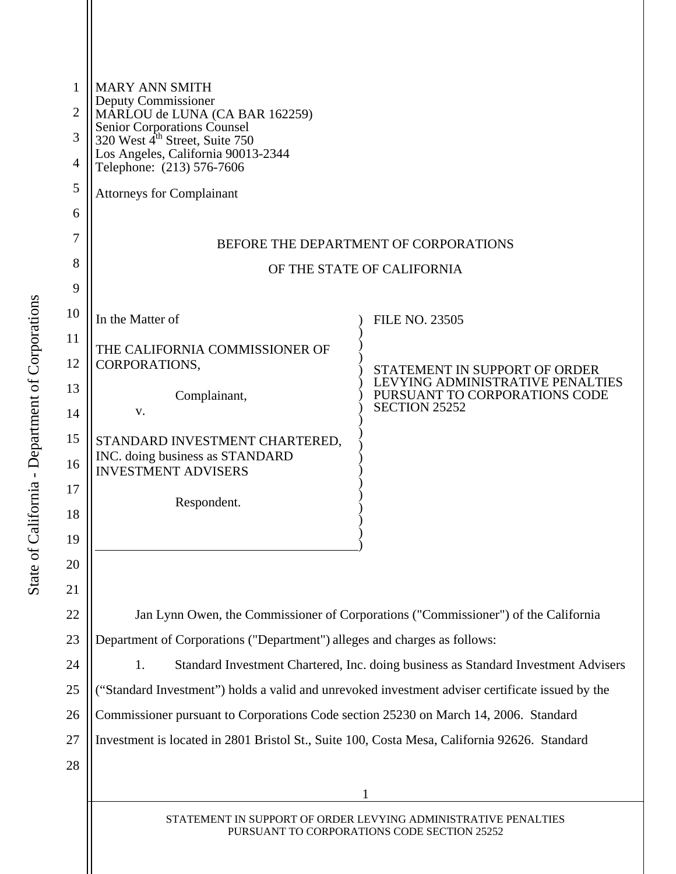| 1<br>$\overline{2}$ | <b>MARY ANN SMITH</b><br>Deputy Commissioner<br>MÂRLOU de LUNA (CA BAR 162259)<br>Senior Corporations Counsel<br>320 West 4 <sup>th</sup> Street, Suite 750 |                                                                   |  |  |
|---------------------|-------------------------------------------------------------------------------------------------------------------------------------------------------------|-------------------------------------------------------------------|--|--|
| 3                   |                                                                                                                                                             |                                                                   |  |  |
| 4                   | Los Angeles, California 90013-2344                                                                                                                          |                                                                   |  |  |
| 5                   | Telephone: (213) 576-7606                                                                                                                                   |                                                                   |  |  |
| 6                   | <b>Attorneys for Complainant</b>                                                                                                                            |                                                                   |  |  |
| 7                   |                                                                                                                                                             |                                                                   |  |  |
| 8                   | BEFORE THE DEPARTMENT OF CORPORATIONS                                                                                                                       |                                                                   |  |  |
| 9                   | OF THE STATE OF CALIFORNIA                                                                                                                                  |                                                                   |  |  |
| 10                  | In the Matter of                                                                                                                                            | <b>FILE NO. 23505</b>                                             |  |  |
| 11                  |                                                                                                                                                             |                                                                   |  |  |
| 12                  | THE CALIFORNIA COMMISSIONER OF<br>CORPORATIONS,                                                                                                             | STATEMENT IN SUPPORT OF ORDER                                     |  |  |
| 13                  | Complainant,                                                                                                                                                | LEVYING ADMINISTRATIVE PENALTIES<br>PURSUANT TO CORPORATIONS CODE |  |  |
| 14                  | V.                                                                                                                                                          | <b>SECTION 25252</b>                                              |  |  |
| 15                  | STANDARD INVESTMENT CHARTERED,                                                                                                                              |                                                                   |  |  |
| 16                  | INC. doing business as STANDARD<br><b>INVESTMENT ADVISERS</b>                                                                                               |                                                                   |  |  |
| 17                  | Respondent.                                                                                                                                                 |                                                                   |  |  |
| 18                  |                                                                                                                                                             |                                                                   |  |  |
| 19                  |                                                                                                                                                             |                                                                   |  |  |
| 20                  |                                                                                                                                                             |                                                                   |  |  |
| 21                  |                                                                                                                                                             |                                                                   |  |  |
| 22                  | Jan Lynn Owen, the Commissioner of Corporations ("Commissioner") of the California                                                                          |                                                                   |  |  |
| 23                  | Department of Corporations ("Department") alleges and charges as follows:                                                                                   |                                                                   |  |  |
| 24                  | 1.<br>Standard Investment Chartered, Inc. doing business as Standard Investment Advisers                                                                    |                                                                   |  |  |
| 25                  | ("Standard Investment") holds a valid and unrevoked investment adviser certificate issued by the                                                            |                                                                   |  |  |
| 26                  | Commissioner pursuant to Corporations Code section 25230 on March 14, 2006. Standard                                                                        |                                                                   |  |  |
| 27                  | Investment is located in 2801 Bristol St., Suite 100, Costa Mesa, California 92626. Standard                                                                |                                                                   |  |  |
| 28                  |                                                                                                                                                             |                                                                   |  |  |
|                     |                                                                                                                                                             |                                                                   |  |  |
|                     | STATEMENT IN SUPPORT OF ORDER LEVYING ADMINISTRATIVE PENALTIES                                                                                              |                                                                   |  |  |

 $\mathbf{\mathcal{L}}$ 

PURSUANT TO CORPORATIONS CODE SECTION 25252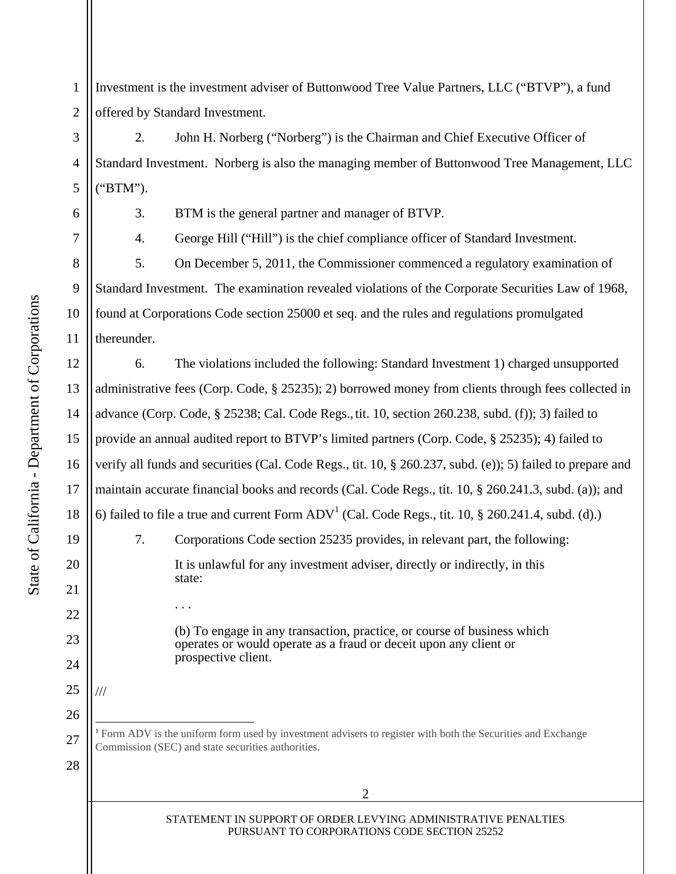<span id="page-1-0"></span>1 2 Investment is the investment adviser of Buttonwood Tree Value Partners, LLC ("BTVP"), a fund offered by Standard Investment.

3 4 2. John H. Norberg ("Norberg") is the Chairman and Chief Executive Officer of Standard Investment. Norberg is also the managing member of Buttonwood Tree Management, LLC ("BTM").

5

6

7

8

9

10

11

12

13

14

15

16

17

18

19

20

21

22

23

24

25

26

27

28

 $\overline{a}$ 

///

3. BTM is the general partner and manager of BTVP.

4. George Hill ("Hill") is the chief compliance officer of Standard Investment.

5. On December 5, 2011, the Commissioner commenced a regulatory examination of Standard Investment. The examination revealed violations of the Corporate Securities Law of 1968, found at Corporations Code section 25000 et seq. and the rules and regulations promulgated thereunder.

6. The violations included the following: Standard Investment 1) charged unsupported administrative fees (Corp. Code, § 25235); 2) borrowed money from clients through fees collected in advance (Corp. Code, § 25238; Cal. Code Regs., tit. 10, section 260.238, subd. (f)); 3) failed to provide an annual audited report to BTVP's limited partners (Corp. Code, § 25235); 4) failed to verify all funds and securities (Cal. Code Regs., tit. 10, § 260.237, subd. (e)); 5) failed to prepare and maintain accurate financial books and records (Cal. Code Regs., tit. 10, § 260.241.3, subd. (a)); and 6) failed to file a true and current Form  $ADV^1$  (Cal. Code Regs., tit. 10, § 260.241.4, subd. (d).) 7. Corporations Code section 25235 provides, in relevant part, the following: It is unlawful for any investment adviser, directly or indirectly, in this state: . . .

> (b) To engage in any transaction, practice, or course of business which operates or would operate as a fraud or deceit upon any client or prospective client.

<sup>1</sup> Form ADV is the uniform form used by investment advisers to register with both the Securities and Exchange Commission (SEC) and state securities authorities.

State of California - Department of Corporations State of California - Department of Corporations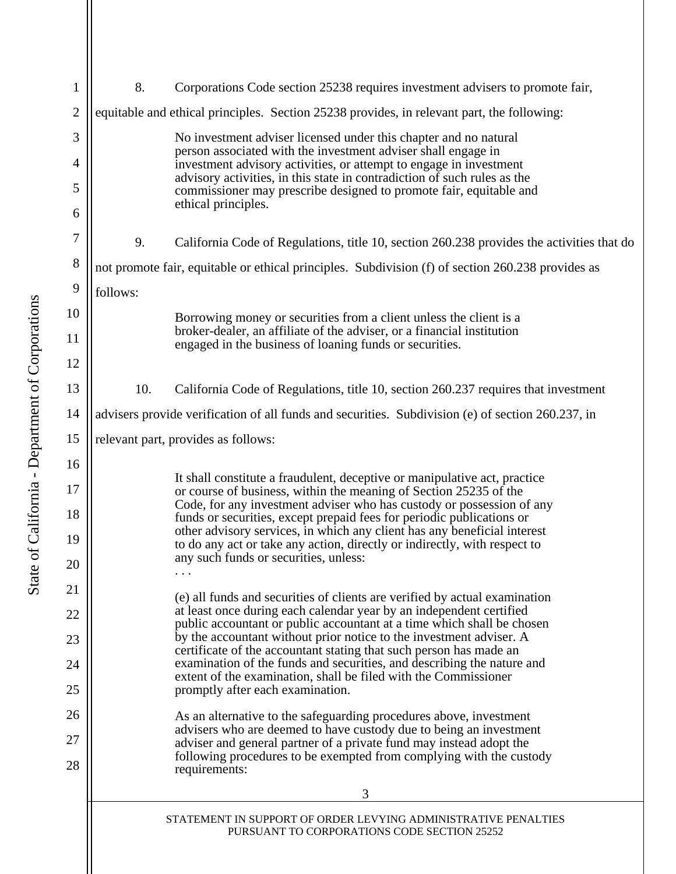<span id="page-2-0"></span>

| $\mathbf{1}$ | 8.<br>Corporations Code section 25238 requires investment advisers to promote fair,                                                                                                                                                                                                                                                                                                                                   |                                                                                                                                   |  |
|--------------|-----------------------------------------------------------------------------------------------------------------------------------------------------------------------------------------------------------------------------------------------------------------------------------------------------------------------------------------------------------------------------------------------------------------------|-----------------------------------------------------------------------------------------------------------------------------------|--|
| $\mathbf{2}$ | equitable and ethical principles. Section 25238 provides, in relevant part, the following:                                                                                                                                                                                                                                                                                                                            |                                                                                                                                   |  |
| 3            |                                                                                                                                                                                                                                                                                                                                                                                                                       | No investment adviser licensed under this chapter and no natural                                                                  |  |
| 4            | person associated with the investment adviser shall engage in<br>investment advisory activities, or attempt to engage in investment<br>advisory activities, in this state in contradiction of such rules as the                                                                                                                                                                                                       |                                                                                                                                   |  |
| 5            | commissioner may prescribe designed to promote fair, equitable and                                                                                                                                                                                                                                                                                                                                                    |                                                                                                                                   |  |
| 6            |                                                                                                                                                                                                                                                                                                                                                                                                                       | ethical principles.                                                                                                               |  |
| 7            | 9.                                                                                                                                                                                                                                                                                                                                                                                                                    | California Code of Regulations, title 10, section 260.238 provides the activities that do                                         |  |
| $8\,$        | not promote fair, equitable or ethical principles. Subdivision (f) of section 260.238 provides as                                                                                                                                                                                                                                                                                                                     |                                                                                                                                   |  |
| 9            | follows:                                                                                                                                                                                                                                                                                                                                                                                                              |                                                                                                                                   |  |
| 10           |                                                                                                                                                                                                                                                                                                                                                                                                                       | Borrowing money or securities from a client unless the client is a                                                                |  |
| 11           |                                                                                                                                                                                                                                                                                                                                                                                                                       | broker-dealer, an affiliate of the adviser, or a financial institution<br>engaged in the business of loaning funds or securities. |  |
| 12           |                                                                                                                                                                                                                                                                                                                                                                                                                       |                                                                                                                                   |  |
| 13           | 10.                                                                                                                                                                                                                                                                                                                                                                                                                   | California Code of Regulations, title 10, section 260.237 requires that investment                                                |  |
| 14           | advisers provide verification of all funds and securities. Subdivision (e) of section 260.237, in                                                                                                                                                                                                                                                                                                                     |                                                                                                                                   |  |
| 15           | relevant part, provides as follows:                                                                                                                                                                                                                                                                                                                                                                                   |                                                                                                                                   |  |
| 16           |                                                                                                                                                                                                                                                                                                                                                                                                                       | It shall constitute a fraudulent, deceptive or manipulative act, practice                                                         |  |
| 17           | or course of business, within the meaning of Section 25235 of the<br>Code, for any investment adviser who has custody or possession of any<br>funds or securities, except prepaid fees for periodic publications or<br>other advisory services, in which any client has any beneficial interest<br>to do any act or take any action, directly or indirectly, with respect to<br>any such funds or securities, unless: |                                                                                                                                   |  |
| 18           |                                                                                                                                                                                                                                                                                                                                                                                                                       |                                                                                                                                   |  |
| 19           |                                                                                                                                                                                                                                                                                                                                                                                                                       |                                                                                                                                   |  |
| 20           |                                                                                                                                                                                                                                                                                                                                                                                                                       |                                                                                                                                   |  |
| 21           | (e) all funds and securities of clients are verified by actual examination<br>at least once during each calendar year by an independent certified                                                                                                                                                                                                                                                                     |                                                                                                                                   |  |
| 22           | public accountant or public accountant at a time which shall be chosen<br>by the accountant without prior notice to the investment adviser. A                                                                                                                                                                                                                                                                         |                                                                                                                                   |  |
| 23           |                                                                                                                                                                                                                                                                                                                                                                                                                       | certificate of the accountant stating that such person has made an                                                                |  |
| 24<br>25     | examination of the funds and securities, and describing the nature and<br>extent of the examination, shall be filed with the Commissioner                                                                                                                                                                                                                                                                             |                                                                                                                                   |  |
| 26           | promptly after each examination.                                                                                                                                                                                                                                                                                                                                                                                      |                                                                                                                                   |  |
| 27           | As an alternative to the safeguarding procedures above, investment<br>advisers who are deemed to have custody due to being an investment                                                                                                                                                                                                                                                                              |                                                                                                                                   |  |
| 28           | adviser and general partner of a private fund may instead adopt the<br>following procedures to be exempted from complying with the custody                                                                                                                                                                                                                                                                            |                                                                                                                                   |  |
|              | requirements:                                                                                                                                                                                                                                                                                                                                                                                                         |                                                                                                                                   |  |
|              |                                                                                                                                                                                                                                                                                                                                                                                                                       | 3                                                                                                                                 |  |
|              |                                                                                                                                                                                                                                                                                                                                                                                                                       | STATEMENT IN SUPPORT OF ORDER LEVYING ADMINISTRATIVE PENALTIES<br>PURSUANT TO CORPORATIONS CODE SECTION 25252                     |  |
|              |                                                                                                                                                                                                                                                                                                                                                                                                                       |                                                                                                                                   |  |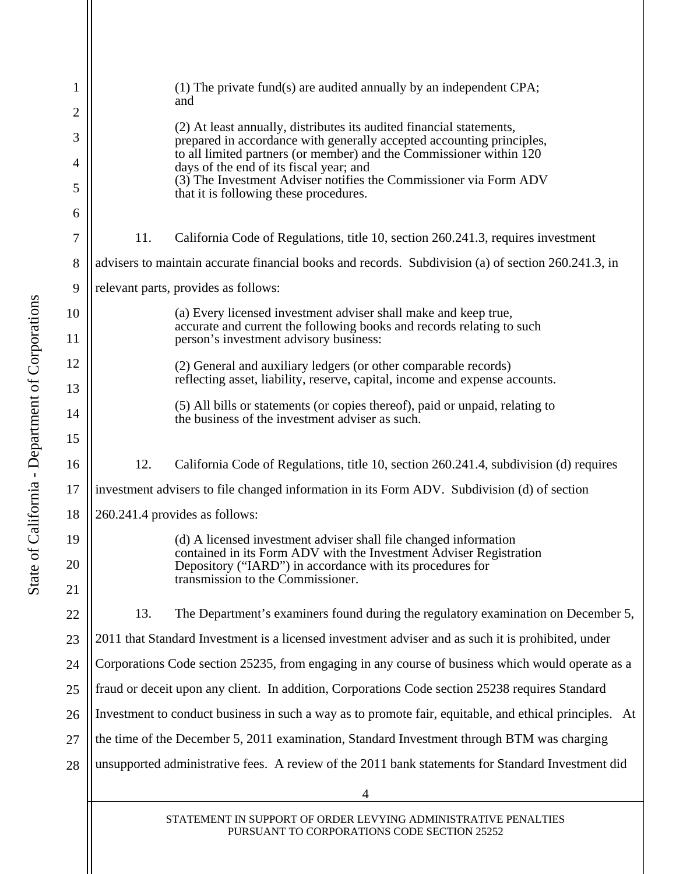<span id="page-3-0"></span>

| 1  |                                                                                                        | $(1)$ The private fund(s) are audited annually by an independent CPA;<br>and                                                                  |  |
|----|--------------------------------------------------------------------------------------------------------|-----------------------------------------------------------------------------------------------------------------------------------------------|--|
| 2  |                                                                                                        |                                                                                                                                               |  |
| 3  |                                                                                                        | (2) At least annually, distributes its audited financial statements,<br>prepared in accordance with generally accepted accounting principles, |  |
| 4  |                                                                                                        | to all limited partners (or member) and the Commissioner within 120<br>days of the end of its fiscal year; and                                |  |
| 5  |                                                                                                        | (3) The Investment Adviser notifies the Commissioner via Form ADV<br>that it is following these procedures.                                   |  |
| 6  |                                                                                                        |                                                                                                                                               |  |
| 7  | 11.                                                                                                    | California Code of Regulations, title 10, section 260.241.3, requires investment                                                              |  |
| 8  | advisers to maintain accurate financial books and records. Subdivision (a) of section 260.241.3, in    |                                                                                                                                               |  |
| 9  | relevant parts, provides as follows:                                                                   |                                                                                                                                               |  |
| 10 |                                                                                                        | (a) Every licensed investment adviser shall make and keep true,                                                                               |  |
| 11 |                                                                                                        | accurate and current the following books and records relating to such<br>person's investment advisory business:                               |  |
| 12 |                                                                                                        | (2) General and auxiliary ledgers (or other comparable records)                                                                               |  |
| 13 |                                                                                                        | reflecting asset, liability, reserve, capital, income and expense accounts.                                                                   |  |
| 14 |                                                                                                        | (5) All bills or statements (or copies thereof), paid or unpaid, relating to<br>the business of the investment adviser as such.               |  |
| 15 |                                                                                                        |                                                                                                                                               |  |
| 16 | 12.                                                                                                    | California Code of Regulations, title 10, section 260.241.4, subdivision (d) requires                                                         |  |
| 17 | investment advisers to file changed information in its Form ADV. Subdivision (d) of section            |                                                                                                                                               |  |
| 18 | 260.241.4 provides as follows:                                                                         |                                                                                                                                               |  |
| 19 |                                                                                                        | (d) A licensed investment adviser shall file changed information                                                                              |  |
| 20 |                                                                                                        | contained in its Form ADV with the Investment Adviser Registration<br>Depository ("IARD") in accordance with its procedures for               |  |
| 21 |                                                                                                        | transmission to the Commissioner.                                                                                                             |  |
| 22 | 13.                                                                                                    | The Department's examiners found during the regulatory examination on December 5,                                                             |  |
| 23 | 2011 that Standard Investment is a licensed investment adviser and as such it is prohibited, under     |                                                                                                                                               |  |
| 24 | Corporations Code section 25235, from engaging in any course of business which would operate as a      |                                                                                                                                               |  |
| 25 | fraud or deceit upon any client. In addition, Corporations Code section 25238 requires Standard        |                                                                                                                                               |  |
| 26 | Investment to conduct business in such a way as to promote fair, equitable, and ethical principles. At |                                                                                                                                               |  |
| 27 | the time of the December 5, 2011 examination, Standard Investment through BTM was charging             |                                                                                                                                               |  |
| 28 | unsupported administrative fees. A review of the 2011 bank statements for Standard Investment did      |                                                                                                                                               |  |
|    |                                                                                                        | 4                                                                                                                                             |  |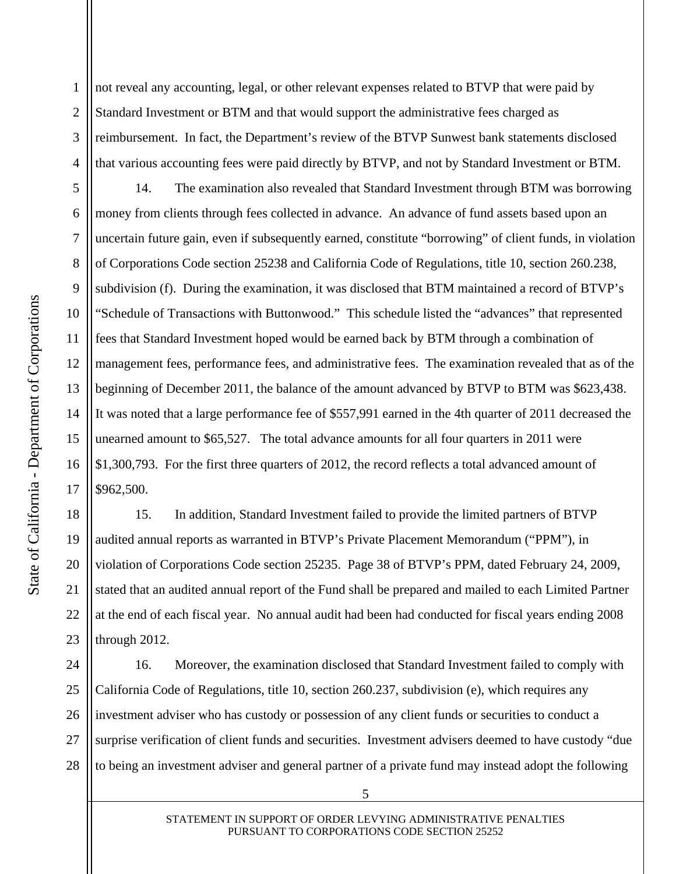1 2 3 4 not reveal any accounting, legal, or other relevant expenses related to BTVP that were paid by Standard Investment or BTM and that would support the administrative fees charged as reimbursement. In fact, the Department's review of the BTVP Sunwest bank statements disclosed that various accounting fees were paid directly by BTVP, and not by Standard Investment or BTM.

10 6 7 8 12 13 14 16 14. The examination also revealed that Standard Investment through BTM was borrowing money from clients through fees collected in advance. An advance of fund assets based upon an uncertain future gain, even if subsequently earned, constitute "borrowing" of client funds, in violation of Corporations Code section 25238 and California Code of Regulations, title 10, section 260.238, subdivision (f). During the examination, it was disclosed that BTM maintained a record of BTVP's "Schedule of Transactions with Buttonwood." This schedule listed the "advances" that represented fees that Standard Investment hoped would be earned back by BTM through a combination of management fees, performance fees, and administrative fees. The examination revealed that as of the beginning of December 2011, the balance of the amount advanced by BTVP to BTM was \$623,438. It was noted that a large performance fee of \$557,991 earned in the 4th quarter of 2011 decreased the unearned amount to \$65,527. The total advance amounts for all four quarters in 2011 were \$1,300,793. For the first three quarters of 2012, the record reflects a total advanced amount of \$962,500.

20 19 22 23 15. In addition, Standard Investment failed to provide the limited partners of BTVP audited annual reports as warranted in BTVP's Private Placement Memorandum ("PPM"), in violation of Corporations Code section 25235. Page 38 of BTVP's PPM, dated February 24, 2009, stated that an audited annual report of the Fund shall be prepared and mailed to each Limited Partner at the end of each fiscal year. No annual audit had been had conducted for fiscal years ending 2008 through 2012.

25 24 26 27 28 16. Moreover, the examination disclosed that Standard Investment failed to comply with California Code of Regulations, title 10, section 260.237, subdivision (e), which requires any investment adviser who has custody or possession of any client funds or securities to conduct a surprise verification of client funds and securities. Investment advisers deemed to have custody "due to being an investment adviser and general partner of a private fund may instead adopt the following

15

17

18

21

5

9

11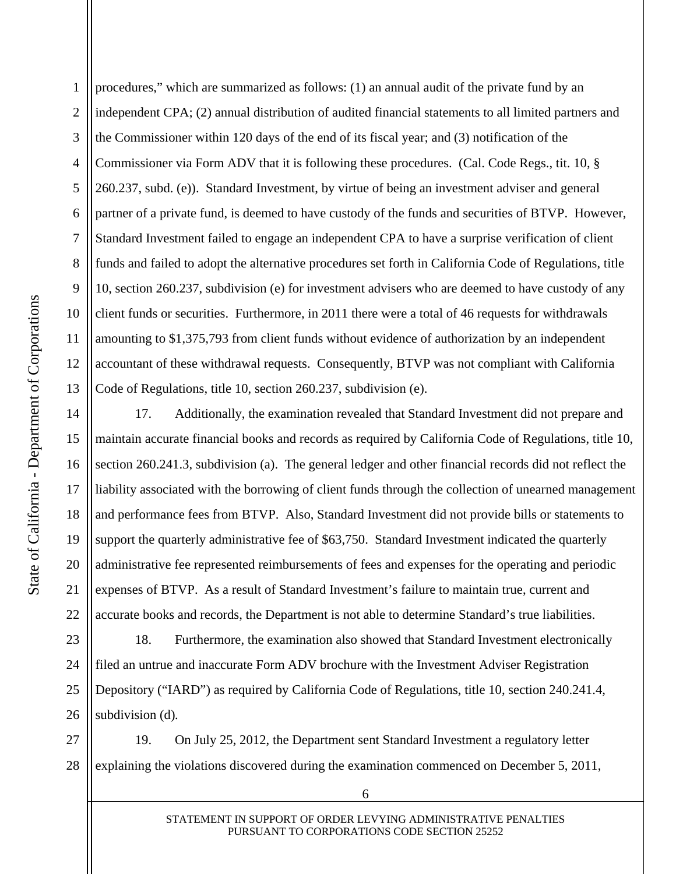<span id="page-5-0"></span>5 10 1 2 3 4 6 7 8 9 11 12 13 procedures," which are summarized as follows: (1) an annual audit of the private fund by an independent CPA; (2) annual distribution of audited financial statements to all limited partners and the Commissioner within 120 days of the end of its fiscal year; and (3) notification of the Commissioner via Form ADV that it is following these procedures. (Cal. Code Regs., tit. 10, § 260.237, subd. (e)). Standard Investment, by virtue of being an investment adviser and general partner of a private fund, is deemed to have custody of the funds and securities of BTVP. However, Standard Investment failed to engage an independent CPA to have a surprise verification of client funds and failed to adopt the alternative procedures set forth in California Code of Regulations, title 10, section 260.237, subdivision (e) for investment advisers who are deemed to have custody of any client funds or securities. Furthermore, in 2011 there were a total of 46 requests for withdrawals amounting to \$1,375,793 from client funds without evidence of authorization by an independent accountant of these withdrawal requests. Consequently, BTVP was not compliant with California Code of Regulations, title 10, section 260.237, subdivision (e).

17. Additionally, the examination revealed that Standard Investment did not prepare and maintain accurate financial books and records as required by California Code of Regulations, title 10, section 260.241.3, subdivision (a). The general ledger and other financial records did not reflect the liability associated with the borrowing of client funds through the collection of unearned management and performance fees from BTVP. Also, Standard Investment did not provide bills or statements to support the quarterly administrative fee of \$63,750. Standard Investment indicated the quarterly administrative fee represented reimbursements of fees and expenses for the operating and periodic expenses of BTVP. As a result of Standard Investment's failure to maintain true, current and accurate books and records, the Department is not able to determine Standard's true liabilities.

25 23 24 26 18. Furthermore, the examination also showed that Standard Investment electronically filed an untrue and inaccurate Form ADV brochure with the Investment Adviser Registration Depository ("IARD") as required by California Code of Regulations, title 10, section 240.241.4, subdivision (d)*.* 

27 28 19. On July 25, 2012, the Department sent Standard Investment a regulatory letter explaining the violations discovered during the examination commenced on December 5, 2011,

15

16

17

18

19

14

20

21

22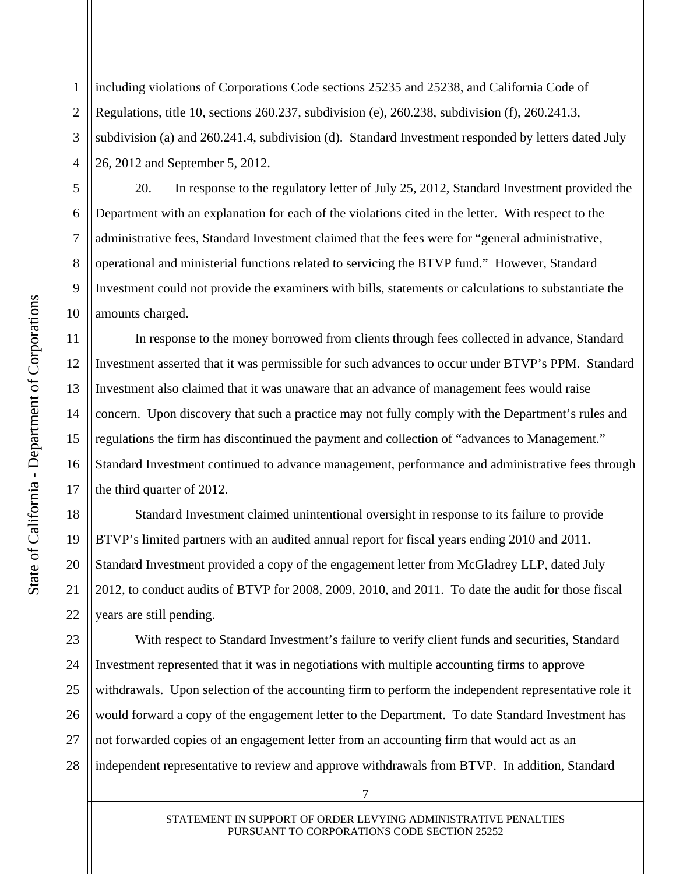<span id="page-6-0"></span>1 2 3 4 including violations of Corporations Code sections 25235 and 25238, and California Code of Regulations, title 10, sections 260.237, subdivision (e), 260.238, subdivision (f), 260.241.3, subdivision (a) and 260.241.4, subdivision (d). Standard Investment responded by letters dated July 26, 2012 and September 5, 2012.

20. In response to the regulatory letter of July 25, 2012, Standard Investment provided the Department with an explanation for each of the violations cited in the letter. With respect to the administrative fees, Standard Investment claimed that the fees were for "general administrative, operational and ministerial functions related to servicing the BTVP fund." However, Standard Investment could not provide the examiners with bills, statements or calculations to substantiate the amounts charged.

In response to the money borrowed from clients through fees collected in advance, Standard Investment asserted that it was permissible for such advances to occur under BTVP's PPM. Standard Investment also claimed that it was unaware that an advance of management fees would raise concern. Upon discovery that such a practice may not fully comply with the Department's rules and regulations the firm has discontinued the payment and collection of "advances to Management." Standard Investment continued to advance management, performance and administrative fees through the third quarter of 2012.

20 18 19 22 Standard Investment claimed unintentional oversight in response to its failure to provide BTVP's limited partners with an audited annual report for fiscal years ending 2010 and 2011. Standard Investment provided a copy of the engagement letter from McGladrey LLP, dated July 2012, to conduct audits of BTVP for 2008, 2009, 2010, and 2011. To date the audit for those fiscal years are still pending.

25 23 24 26 27 28 With respect to Standard Investment's failure to verify client funds and securities, Standard Investment represented that it was in negotiations with multiple accounting firms to approve withdrawals. Upon selection of the accounting firm to perform the independent representative role it would forward a copy of the engagement letter to the Department. To date Standard Investment has not forwarded copies of an engagement letter from an accounting firm that would act as an independent representative to review and approve withdrawals from BTVP. In addition, Standard

5

6

7

8

9

10

11

12

13

14

15

16

17

21

STATEMENT IN SUPPORT OF ORDER LEVYING ADMINISTRATIVE PENALTIES PURSUANT TO CORPORATIONS CODE SECTION 25252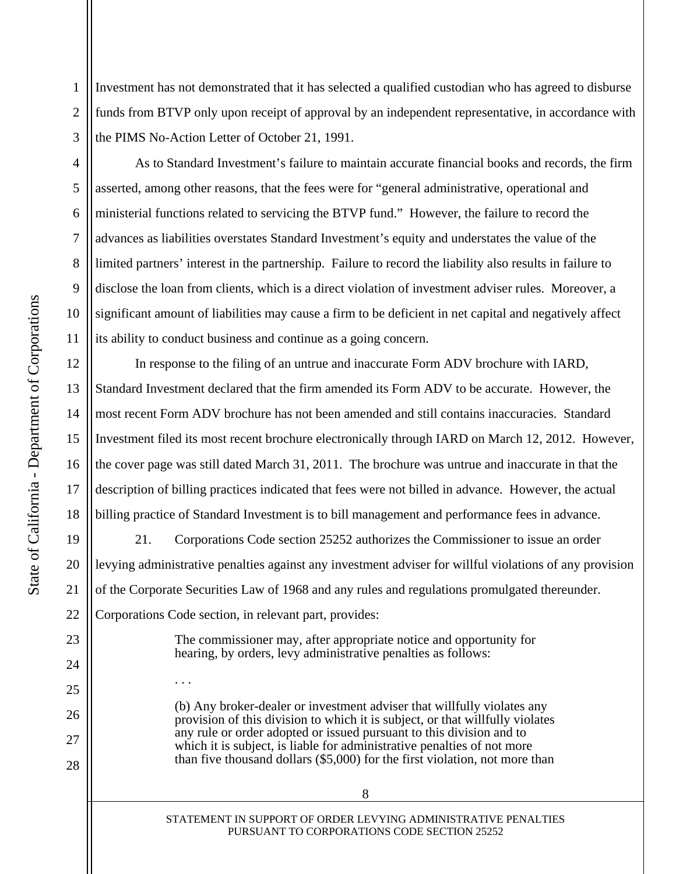<span id="page-7-0"></span>1 2 3 Investment has not demonstrated that it has selected a qualified custodian who has agreed to disburse funds from BTVP only upon receipt of approval by an independent representative, in accordance with the PIMS No-Action Letter of October 21, 1991.

As to Standard Investment's failure to maintain accurate financial books and records, the firm asserted, among other reasons, that the fees were for "general administrative, operational and ministerial functions related to servicing the BTVP fund." However, the failure to record the advances as liabilities overstates Standard Investment's equity and understates the value of the limited partners' interest in the partnership. Failure to record the liability also results in failure to disclose the loan from clients, which is a direct violation of investment adviser rules. Moreover, a significant amount of liabilities may cause a firm to be deficient in net capital and negatively affect its ability to conduct business and continue as a going concern.

In response to the filing of an untrue and inaccurate Form ADV brochure with IARD, Standard Investment declared that the firm amended its Form ADV to be accurate. However, the most recent Form ADV brochure has not been amended and still contains inaccuracies. Standard Investment filed its most recent brochure electronically through IARD on March 12, 2012. However, the cover page was still dated March 31, 2011. The brochure was untrue and inaccurate in that the description of billing practices indicated that fees were not billed in advance. However, the actual billing practice of Standard Investment is to bill management and performance fees in advance.

21. Corporations Code section 25252 authorizes the Commissioner to issue an order levying administrative penalties against any investment adviser for willful violations of any provision of the Corporate Securities Law of 1968 and any rules and regulations promulgated thereunder. Corporations Code section, in relevant part, provides:

> The commissioner may, after appropriate notice and opportunity for hearing, by orders, levy administrative penalties as follows:

(b) Any broker-dealer or investment adviser that willfully violates any provision of this division to which it is subject, or that willfully violates any rule or order adopted or issued pursuant to this division and to which it is subject, is liable for administrative penalties of not more than five thousand dollars (\$5,000) for the first violation, not more than

STATEMENT IN SUPPORT OF ORDER LEVYING ADMINISTRATIVE PENALTIES PURSUANT TO CORPORATIONS CODE SECTION 25252

5

6

7

8

9

4

10

11

12

13

14

15

16

17

18

19

20

21

22

23

25

. . .

26

27

28